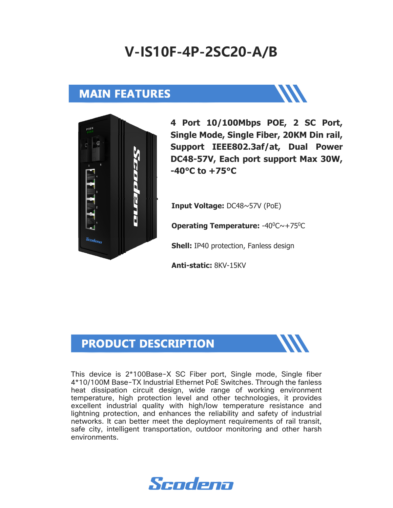# **V-IS10F-4P-2SC20-A/B**

### **MAIN FEATURES**



**4 Port 10/100Mbps POE, 2 SC Port, Single Mode, Single Fiber, 20KM Din rail, Support IEEE802.3af/at, Dual Power DC48-57V, Each port support Max 30W, -40°C to +75°C** 

**Input Voltage:** DC48~57V (PoE)

**Operating Temperature: -40<sup>0</sup>C∼+75<sup>0</sup>C** 

**Shell:** IP40 protection, Fanless design

**Anti-static:** 8KV-15KV

#### **PRODUCT DESCRIPTION**



This device is 2\*100Base-X SC Fiber port, Single mode, Single fiber 4\*10/100M Base-TX Industrial Ethernet PoE Switches. Through the fanless heat dissipation circuit design, wide range of working environment temperature, high protection level and other technologies, it provides excellent industrial quality with high/low temperature resistance and lightning protection, and enhances the reliability and safety of industrial networks. It can better meet the deployment requirements of rail transit, safe city, intelligent transportation, outdoor monitoring and other harsh environments.

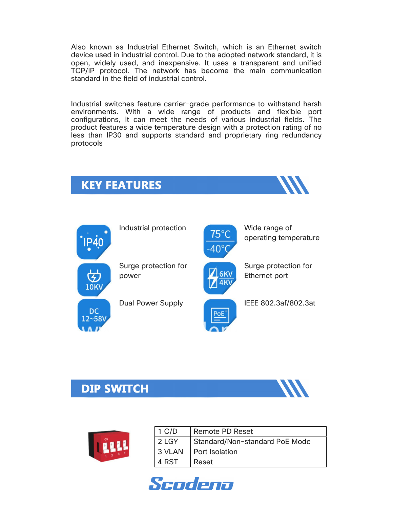Also known as Industrial Ethernet Switch, which is an Ethernet switch device used in industrial control. Due to the adopted network standard, it is open, widely used, and inexpensive. It uses a transparent and unified TCP/IP protocol. The network has become the main communication standard in the field of industrial control.

Industrial switches feature carrier-grade performance to withstand harsh environments. With a wide range of products and flexible port configurations, it can meet the needs of various industrial fields. The product features a wide temperature design with a protection rating of no less than IP30 and supports standard and proprietary ring redundancy protocols

## **KEY FEATURES**





operating temperature

Surge protection for power



Surge protection for Ethernet port

Dual Power Supply **IEEE 802.3af/802.3at** 

#### **DIP SWITCH**





| $1$ C/D | Remote PD Reset                |
|---------|--------------------------------|
| 2 LGY   | Standard/Non-standard PoE Mode |
| 3 VLAN  | <b>Port Isolation</b>          |
| 4 RST   | Reset                          |

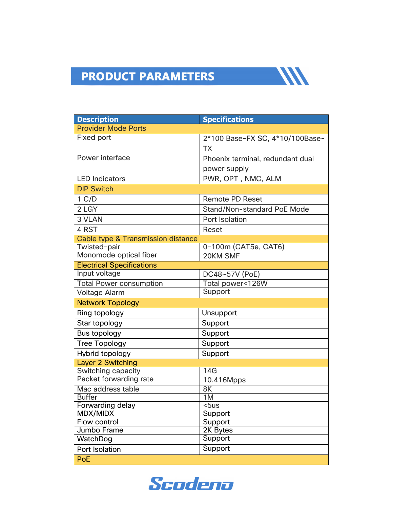# **PRODUCT PARAMETERS**

| <b>Description</b>                            | <b>Specifications</b>            |
|-----------------------------------------------|----------------------------------|
| <b>Provider Mode Ports</b>                    |                                  |
| <b>Fixed port</b>                             | 2*100 Base-FX SC, 4*10/100Base-  |
|                                               | <b>TX</b>                        |
| Power interface                               | Phoenix terminal, redundant dual |
|                                               | power supply                     |
| <b>LED Indicators</b>                         | PWR, OPT, NMC, ALM               |
| <b>DIP Switch</b>                             |                                  |
| 1 C/D                                         | <b>Remote PD Reset</b>           |
| 2 LGY                                         | Stand/Non-standard PoE Mode      |
| 3 VLAN                                        | Port Isolation                   |
| 4 RST                                         | <b>Reset</b>                     |
| <b>Cable type &amp; Transmission distance</b> |                                  |
| Twisted-pair                                  | 0-100m (CAT5e, CAT6)             |
| Monomode optical fiber                        | 20KM SMF                         |
| <b>Electrical Specifications</b>              |                                  |
| Input voltage                                 | DC48~57V (PoE)                   |
| <b>Total Power consumption</b>                | Total power<126W                 |
| <b>Voltage Alarm</b>                          | Support                          |
| <b>Network Topology</b>                       |                                  |
| Ring topology                                 | Unsupport                        |
| Star topology                                 | Support                          |
| Bus topology                                  | Support                          |
| <b>Tree Topology</b>                          | Support                          |
| Hybrid topology                               | Support                          |
| <b>Layer 2 Switching</b>                      |                                  |
| Switching capacity                            | 14G                              |
| Packet forwarding rate                        | 10.416Mpps                       |
| Mac address table                             | 8K                               |
| <b>Buffer</b>                                 | 1M                               |
| Forwarding delay                              | $\overline{\text{5}}$ us         |
| MDX/MIDX                                      | Support                          |
| Flow control                                  | Support                          |
| Jumbo Frame                                   | 2K Bytes<br>Support              |
| WatchDog                                      | Support                          |
| Port Isolation                                |                                  |
| PoE                                           |                                  |

**WA** 

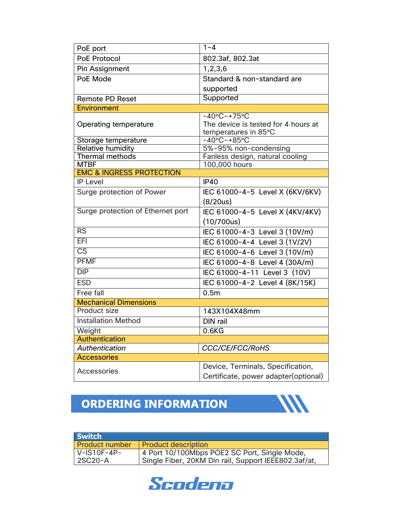| PoE port                            | $\overline{1} - 4$                                                                      |  |  |
|-------------------------------------|-----------------------------------------------------------------------------------------|--|--|
| <b>PoE Protocol</b>                 | 802.3af, 802.3at                                                                        |  |  |
| Pin Assignment                      | 1,2,3,6                                                                                 |  |  |
| PoE Mode                            | Standard & non-standard are                                                             |  |  |
|                                     | supported                                                                               |  |  |
| <b>Remote PD Reset</b>              | Supported                                                                               |  |  |
| <b>Environment</b>                  |                                                                                         |  |  |
| Operating temperature               | $-40^{\circ}$ C ~ + 75°C<br>The device is tested for 4 hours at<br>temperatures in 85°C |  |  |
| Storage temperature                 | $-40^{\circ}$ C ~ +85 $^{\circ}$ C                                                      |  |  |
| <b>Relative humidity</b>            | 5%~95% non-condensing                                                                   |  |  |
| Thermal methods<br><b>MTBF</b>      | Fanless design, natural cooling<br>100,000 hours                                        |  |  |
| <b>EMC &amp; INGRESS PROTECTION</b> |                                                                                         |  |  |
| <b>IP Level</b>                     | <b>IP40</b>                                                                             |  |  |
| Surge protection of Power           | IEC 61000-4-5 Level X (6KV/6KV)                                                         |  |  |
|                                     | (8/20us)                                                                                |  |  |
| Surge protection of Ethernet port   | IEC 61000-4-5 Level X (4KV/4KV)                                                         |  |  |
|                                     | (10/700us)                                                                              |  |  |
| RS                                  | IEC 61000-4-3 Level 3 (10V/m)                                                           |  |  |
| EFI                                 | IEC 61000-4-4 Level 3 (1V/2V)                                                           |  |  |
| $\overline{\text{CS}}$              | IEC 61000-4-6 Level 3 (10V/m)                                                           |  |  |
| <b>PFMF</b>                         | IEC 61000-4-8 Level 4 (30A/m)                                                           |  |  |
| DIP                                 | IEC 61000-4-11 Level 3 (10V)                                                            |  |  |
| <b>ESD</b>                          | IEC 61000-4-2 Level 4 (8K/15K)                                                          |  |  |
| Free fall                           | 0.5 <sub>m</sub>                                                                        |  |  |
| <b>Mechanical Dimensions</b>        |                                                                                         |  |  |
| <b>Product size</b>                 | 143X104X48mm                                                                            |  |  |
| <b>Installation Method</b>          | DIN rail                                                                                |  |  |
| Weight                              | 0.6 <sub>K</sub>                                                                        |  |  |
| <b>Authentication</b>               |                                                                                         |  |  |
| <b>Authentication</b>               | <b>CCC/CE/FCC/RoHS</b>                                                                  |  |  |
| <b>Accessories</b>                  |                                                                                         |  |  |
| <b>Accessories</b>                  | Device, Terminals, Specification,                                                       |  |  |
|                                     | Certificate, power adapter(optional)                                                    |  |  |

## **ORDERING INFORMATION**



| <b>Switch</b>         |                                                      |
|-----------------------|------------------------------------------------------|
| <b>Product number</b> | <b>Product description</b>                           |
| $V$ -IS10F-4P-        | 4 Port 10/100Mbps POE2 SC Port, Single Mode,         |
| 2SC20-A               | Single Fiber, 20KM Din rail, Support IEEE802.3af/at, |